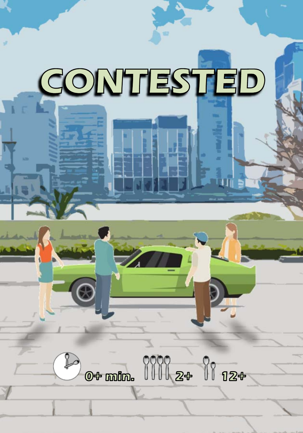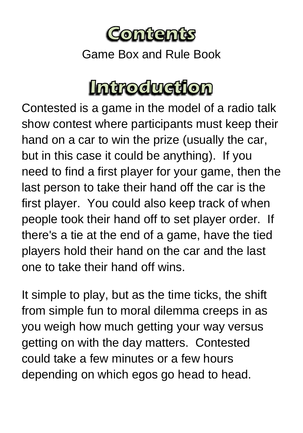

Game Box and Rule Book

### **Introduction**

Contested is a game in the model of a radio talk show contest where participants must keep their hand on a car to win the prize (usually the car, but in this case it could be anything). If you need to find a first player for your game, then the last person to take their hand off the car is the first player. You could also keep track of when people took their hand off to set player order. If there's a tie at the end of a game, have the tied players hold their hand on the car and the last one to take their hand off wins.

It simple to play, but as the time ticks, the shift from simple fun to moral dilemma creeps in as you weigh how much getting your way versus getting on with the day matters. Contested could take a few minutes or a few hours depending on which egos go head to head.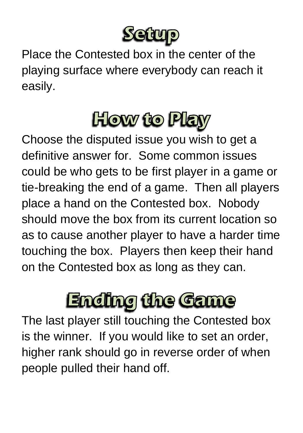

Place the Contested box in the center of the playing surface where everybody can reach it easily.

## **How to Play**

Choose the disputed issue you wish to get a definitive answer for. Some common issues could be who gets to be first player in a game or tie-breaking the end of a game. Then all players place a hand on the Contested box. Nobody should move the box from its current location so as to cause another player to have a harder time touching the box. Players then keep their hand on the Contested box as long as they can.

# **Ending the Game**

The last player still touching the Contested box is the winner. If you would like to set an order, higher rank should go in reverse order of when people pulled their hand off.